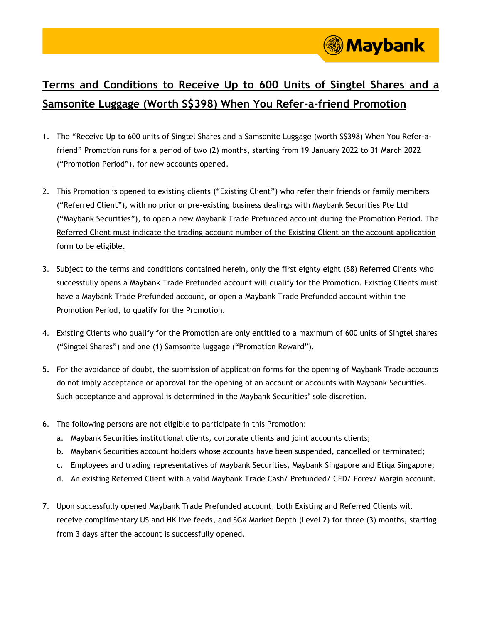

## **Terms and Conditions to Receive Up to 600 Units of Singtel Shares and a Samsonite Luggage (Worth S\$398) When You Refer-a-friend Promotion**

- 1. The "Receive Up to 600 units of Singtel Shares and a Samsonite Luggage (worth S\$398) When You Refer-afriend" Promotion runs for a period of two (2) months, starting from 19 January 2022 to 31 March 2022 ("Promotion Period"), for new accounts opened.
- 2. This Promotion is opened to existing clients ("Existing Client") who refer their friends or family members ("Referred Client"), with no prior or pre-existing business dealings with Maybank Securities Pte Ltd ("Maybank Securities"), to open a new Maybank Trade Prefunded account during the Promotion Period. The Referred Client must indicate the trading account number of the Existing Client on the account application form to be eligible.
- 3. Subject to the terms and conditions contained herein, only the first eighty eight (88) Referred Clients who successfully opens a Maybank Trade Prefunded account will qualify for the Promotion. Existing Clients must have a Maybank Trade Prefunded account, or open a Maybank Trade Prefunded account within the Promotion Period, to qualify for the Promotion.
- 4. Existing Clients who qualify for the Promotion are only entitled to a maximum of 600 units of Singtel shares ("Singtel Shares") and one (1) Samsonite luggage ("Promotion Reward").
- 5. For the avoidance of doubt, the submission of application forms for the opening of Maybank Trade accounts do not imply acceptance or approval for the opening of an account or accounts with Maybank Securities. Such acceptance and approval is determined in the Maybank Securities' sole discretion.
- 6. The following persons are not eligible to participate in this Promotion:
	- a. Maybank Securities institutional clients, corporate clients and joint accounts clients;
	- b. Maybank Securities account holders whose accounts have been suspended, cancelled or terminated;
	- c. Employees and trading representatives of Maybank Securities, Maybank Singapore and Etiqa Singapore;
	- d. An existing Referred Client with a valid Maybank Trade Cash/ Prefunded/ CFD/ Forex/ Margin account.
- 7. Upon successfully opened Maybank Trade Prefunded account, both Existing and Referred Clients will receive complimentary US and HK live feeds, and SGX Market Depth (Level 2) for three (3) months, starting from 3 days after the account is successfully opened.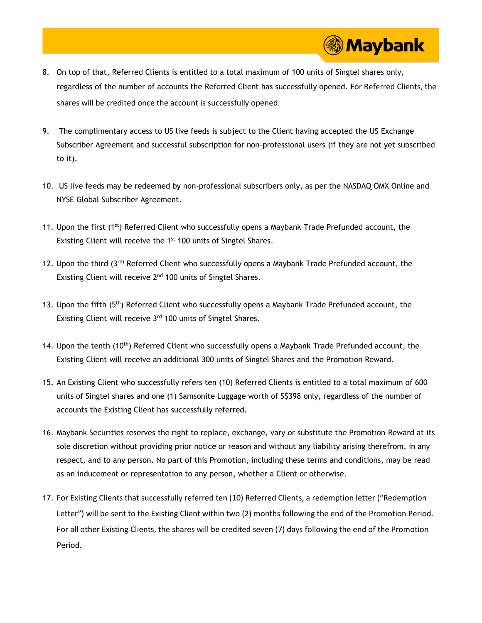8. On top of that, Referred Clients is entitled to a total maximum of 100 units of Singtel shares only, regardless of the number of accounts the Referred Client has successfully opened. For Referred Clients, the shares will be credited once the account is successfully opened.

**Maybank** 

- 9. The complimentary access to US live feeds is subject to the Client having accepted the US Exchange Subscriber Agreement and successful subscription for non-professional users (if they are not yet subscribed to it).
- 10. US live feeds may be redeemed by non-professional subscribers only, as per the NASDAQ OMX Online and NYSE Global Subscriber Agreement.
- 11. Upon the first (1<sup>st</sup>) Referred Client who successfully opens a Maybank Trade Prefunded account, the Existing Client will receive the 1<sup>st</sup> 100 units of Singtel Shares.
- 12. Upon the third (3rd) Referred Client who successfully opens a Maybank Trade Prefunded account, the Existing Client will receive 2<sup>nd</sup> 100 units of Singtel Shares.
- 13. Upon the fifth (5<sup>th</sup>) Referred Client who successfully opens a Maybank Trade Prefunded account, the Existing Client will receive 3<sup>rd</sup> 100 units of Singtel Shares.
- 14. Upon the tenth (10<sup>th</sup>) Referred Client who successfully opens a Maybank Trade Prefunded account, the Existing Client will receive an additional 300 units of Singtel Shares and the Promotion Reward.
- 15. An Existing Client who successfully refers ten (10) Referred Clients is entitled to a total maximum of 600 units of Singtel shares and one (1) Samsonite Luggage worth of S\$398 only, regardless of the number of accounts the Existing Client has successfully referred.
- 16. Maybank Securities reserves the right to replace, exchange, vary or substitute the Promotion Reward at its sole discretion without providing prior notice or reason and without any liability arising therefrom, in any respect, and to any person. No part of this Promotion, including these terms and conditions, may be read as an inducement or representation to any person, whether a Client or otherwise.
- 17. For Existing Clients that successfully referred ten (10) Referred Clients, a redemption letter ("Redemption Letter") will be sent to the Existing Client within two (2) months following the end of the Promotion Period. For all other Existing Clients, the shares will be credited seven (7) days following the end of the Promotion Period.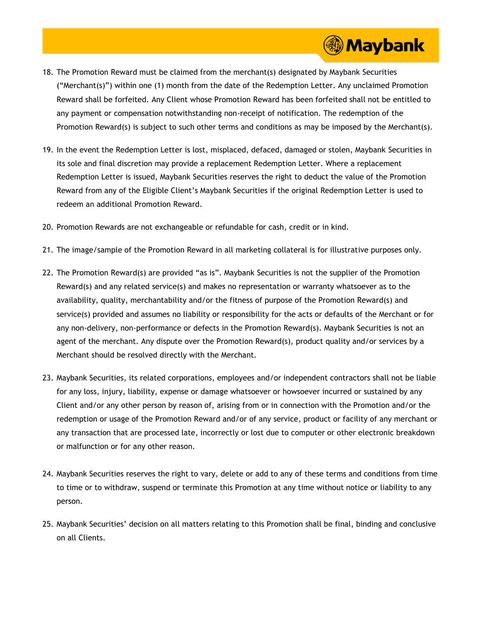18. The Promotion Reward must be claimed from the merchant(s) designated by Maybank Securities ("Merchant(s)") within one (1) month from the date of the Redemption Letter. Any unclaimed Promotion Reward shall be forfeited. Any Client whose Promotion Reward has been forfeited shall not be entitled to any payment or compensation notwithstanding non-receipt of notification. The redemption of the Promotion Reward(s) is subject to such other terms and conditions as may be imposed by the Merchant(s).

**③ Maybank** 

- 19. In the event the Redemption Letter is lost, misplaced, defaced, damaged or stolen, Maybank Securities in its sole and final discretion may provide a replacement Redemption Letter. Where a replacement Redemption Letter is issued, Maybank Securities reserves the right to deduct the value of the Promotion Reward from any of the Eligible Client's Maybank Securities if the original Redemption Letter is used to redeem an additional Promotion Reward.
- 20. Promotion Rewards are not exchangeable or refundable for cash, credit or in kind.
- 21. The image/sample of the Promotion Reward in all marketing collateral is for illustrative purposes only.
- 22. The Promotion Reward(s) are provided "as is". Maybank Securities is not the supplier of the Promotion Reward(s) and any related service(s) and makes no representation or warranty whatsoever as to the availability, quality, merchantability and/or the fitness of purpose of the Promotion Reward(s) and service(s) provided and assumes no liability or responsibility for the acts or defaults of the Merchant or for any non-delivery, non-performance or defects in the Promotion Reward(s). Maybank Securities is not an agent of the merchant. Any dispute over the Promotion Reward(s), product quality and/or services by a Merchant should be resolved directly with the Merchant.
- 23. Maybank Securities, its related corporations, employees and/or independent contractors shall not be liable for any loss, injury, liability, expense or damage whatsoever or howsoever incurred or sustained by any Client and/or any other person by reason of, arising from or in connection with the Promotion and/or the redemption or usage of the Promotion Reward and/or of any service, product or facility of any merchant or any transaction that are processed late, incorrectly or lost due to computer or other electronic breakdown or malfunction or for any other reason.
- 24. Maybank Securities reserves the right to vary, delete or add to any of these terms and conditions from time to time or to withdraw, suspend or terminate this Promotion at any time without notice or liability to any person.
- 25. Maybank Securities' decision on all matters relating to this Promotion shall be final, binding and conclusive on all Clients.